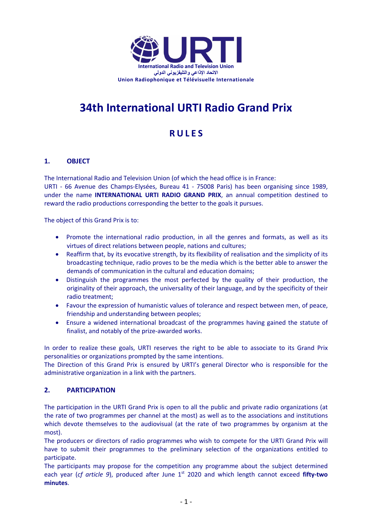

# **34th International URTI Radio Grand Prix**

# **R U L E S**

# **1. OBJECT**

The International Radio and Television Union (of which the head office is in France:

URTI - 66 Avenue des Champs-Elysées, Bureau 41 - 75008 Paris) has been organising since 1989, under the name **INTERNATIONAL URTI RADIO GRAND PRIX**, an annual competition destined to reward the radio productions corresponding the better to the goals it pursues.

The object of this Grand Prix is to:

- Promote the international radio production, in all the genres and formats, as well as its virtues of direct relations between people, nations and cultures;
- Reaffirm that, by its evocative strength, by its flexibility of realisation and the simplicity of its broadcasting technique, radio proves to be the media which is the better able to answer the demands of communication in the cultural and education domains;
- Distinguish the programmes the most perfected by the quality of their production, the originality of their approach, the universality of their language, and by the specificity of their radio treatment;
- Favour the expression of humanistic values of tolerance and respect between men, of peace, friendship and understanding between peoples;
- Ensure a widened international broadcast of the programmes having gained the statute of finalist, and notably of the prize-awarded works.

In order to realize these goals, URTI reserves the right to be able to associate to its Grand Prix personalities or organizations prompted by the same intentions.

The Direction of this Grand Prix is ensured by URTI's general Director who is responsible for the administrative organization in a link with the partners.

# **2. PARTICIPATION**

The participation in the URTI Grand Prix is open to all the public and private radio organizations (at the rate of two programmes per channel at the most) as well as to the associations and institutions which devote themselves to the audiovisual (at the rate of two programmes by organism at the most).

The producers or directors of radio programmes who wish to compete for the URTI Grand Prix will have to submit their programmes to the preliminary selection of the organizations entitled to participate.

The participants may propose for the competition any programme about the subject determined each year (*cf article 9*), produced after June 1<sup>st</sup> 2020 and which length cannot exceed fifty-two **minutes**.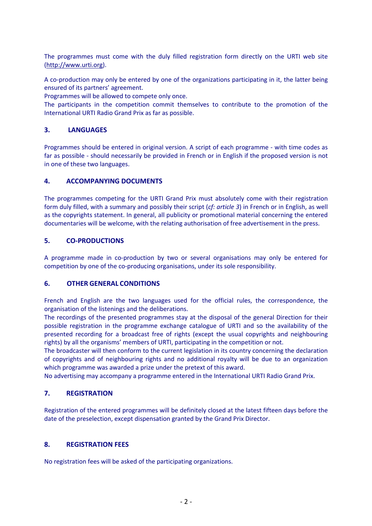The programmes must come with the duly filled registration form directly on the URTI web site (http://www.urti.org).

A co-production may only be entered by one of the organizations participating in it, the latter being ensured of its partners' agreement.

Programmes will be allowed to compete only once.

The participants in the competition commit themselves to contribute to the promotion of the International URTI Radio Grand Prix as far as possible.

#### **3. LANGUAGES**

Programmes should be entered in original version. A script of each programme - with time codes as far as possible - should necessarily be provided in French or in English if the proposed version is not in one of these two languages.

#### **4. ACCOMPANYING DOCUMENTS**

The programmes competing for the URTI Grand Prix must absolutely come with their registration form duly filled, with a summary and possibly their script (*cf: article 3*) in French or in English, as well as the copyrights statement. In general, all publicity or promotional material concerning the entered documentaries will be welcome, with the relating authorisation of free advertisement in the press.

#### **5. CO-PRODUCTIONS**

A programme made in co-production by two or several organisations may only be entered for competition by one of the co-producing organisations, under its sole responsibility.

#### **6. OTHER GENERAL CONDITIONS**

French and English are the two languages used for the official rules, the correspondence, the organisation of the listenings and the deliberations.

The recordings of the presented programmes stay at the disposal of the general Direction for their possible registration in the programme exchange catalogue of URTI and so the availability of the presented recording for a broadcast free of rights (except the usual copyrights and neighbouring rights) by all the organisms' members of URTI, participating in the competition or not.

The broadcaster will then conform to the current legislation in its country concerning the declaration of copyrights and of neighbouring rights and no additional royalty will be due to an organization which programme was awarded a prize under the pretext of this award.

No advertising may accompany a programme entered in the International URTI Radio Grand Prix.

#### **7. REGISTRATION**

Registration of the entered programmes will be definitely closed at the latest fifteen days before the date of the preselection, except dispensation granted by the Grand Prix Director.

#### **8. REGISTRATION FEES**

No registration fees will be asked of the participating organizations.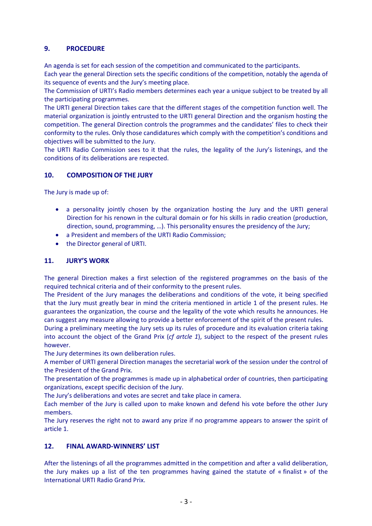# **9. PROCEDURE**

An agenda is set for each session of the competition and communicated to the participants.

Each year the general Direction sets the specific conditions of the competition, notably the agenda of its sequence of events and the Jury's meeting place.

The Commission of URTI's Radio members determines each year a unique subject to be treated by all the participating programmes.

The URTI general Direction takes care that the different stages of the competition function well. The material organization is jointly entrusted to the URTI general Direction and the organism hosting the competition. The general Direction controls the programmes and the candidates' files to check their conformity to the rules. Only those candidatures which comply with the competition's conditions and objectives will be submitted to the Jury.

The URTI Radio Commission sees to it that the rules, the legality of the Jury's listenings, and the conditions of its deliberations are respected.

# **10. COMPOSITION OF THE JURY**

The Jury is made up of:

- a personality jointly chosen by the organization hosting the Jury and the URTI general Direction for his renown in the cultural domain or for his skills in radio creation (production, direction, sound, programming, …). This personality ensures the presidency of the Jury;
- a President and members of the URTI Radio Commission;
- the Director general of URTI.

# **11. JURY'S WORK**

The general Direction makes a first selection of the registered programmes on the basis of the required technical criteria and of their conformity to the present rules.

The President of the Jury manages the deliberations and conditions of the vote, it being specified that the Jury must greatly bear in mind the criteria mentioned in article 1 of the present rules. He guarantees the organization, the course and the legality of the vote which results he announces. He can suggest any measure allowing to provide a better enforcement of the spirit of the present rules.

During a preliminary meeting the Jury sets up its rules of procedure and its evaluation criteria taking into account the object of the Grand Prix (*cf artcle 1*), subject to the respect of the present rules however.

The Jury determines its own deliberation rules.

A member of URTI general Direction manages the secretarial work of the session under the control of the President of the Grand Prix.

The presentation of the programmes is made up in alphabetical order of countries, then participating organizations, except specific decision of the Jury.

The Jury's deliberations and votes are secret and take place in camera.

Each member of the Jury is called upon to make known and defend his vote before the other Jury members.

The Jury reserves the right not to award any prize if no programme appears to answer the spirit of article 1.

# **12. FINAL AWARD-WINNERS' LIST**

After the listenings of all the programmes admitted in the competition and after a valid deliberation, the Jury makes up a list of the ten programmes having gained the statute of « finalist » of the International URTI Radio Grand Prix.